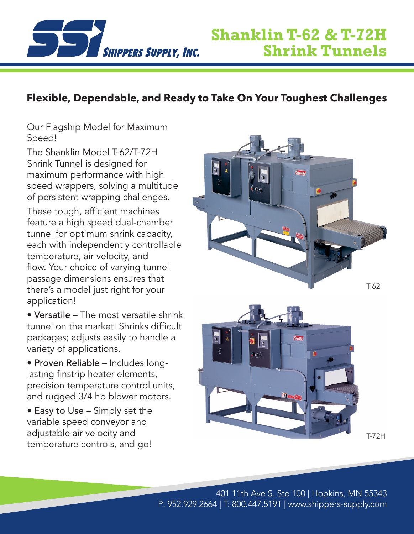

## **Flexible, Dependable, and Ready to Take On Your Toughest Challenges**

Our Flagship Model for Maximum Speed!

The Shanklin Model T-62/T-72H Shrink Tunnel is designed for maximum performance with high speed wrappers, solving a multitude of persistent wrapping challenges.

These tough, efficient machines feature a high speed dual-chamber tunnel for optimum shrink capacity, each with independently controllable temperature, air velocity, and flow. Your choice of varying tunnel passage dimensions ensures that there's a model just right for your application!

• Versatile – The most versatile shrink tunnel on the market! Shrinks difficult packages; adjusts easily to handle a variety of applications.

• Proven Reliable – Includes longlasting finstrip heater elements, precision temperature control units, and rugged 3/4 hp blower motors.

• Easy to Use – Simply set the variable speed conveyor and adjustable air velocity and temperature controls, and go!





T-72H